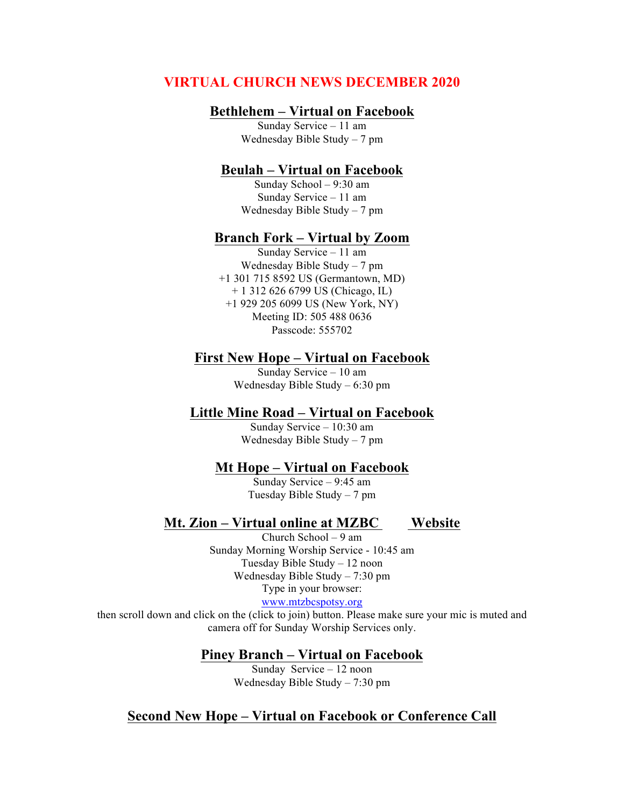# **VIRTUAL CHURCH NEWS DECEMBER 2020**

## **Bethlehem – Virtual on Facebook**

Sunday Service – 11 am Wednesday Bible Study – 7 pm

### **Beulah – Virtual on Facebook**

Sunday School – 9:30 am Sunday Service – 11 am Wednesday Bible Study – 7 pm

### **Branch Fork – Virtual by Zoom**

Sunday Service – 11 am Wednesday Bible Study – 7 pm +1 301 715 8592 US (Germantown, MD) + 1 312 626 6799 US (Chicago, IL) +1 929 205 6099 US (New York, NY) Meeting ID: 505 488 0636 Passcode: 555702

#### **First New Hope – Virtual on Facebook**

Sunday Service – 10 am Wednesday Bible Study – 6:30 pm

## **Little Mine Road – Virtual on Facebook**

Sunday Service – 10:30 am Wednesday Bible Study – 7 pm

#### **Mt Hope – Virtual on Facebook**

Sunday Service – 9:45 am Tuesday Bible Study – 7 pm

## **Mt. Zion – Virtual online at MZBC Website**

Church School – 9 am Sunday Morning Worship Service - 10:45 am Tuesday Bible Study – 12 noon Wednesday Bible Study – 7:30 pm Type in your browser:

www.mtzbcspotsy.org

then scroll down and click on the (click to join) button. Please make sure your mic is muted and camera off for Sunday Worship Services only.

**Piney Branch – Virtual on Facebook**

Sunday Service – 12 noon Wednesday Bible Study – 7:30 pm

## **Second New Hope – Virtual on Facebook or Conference Call**